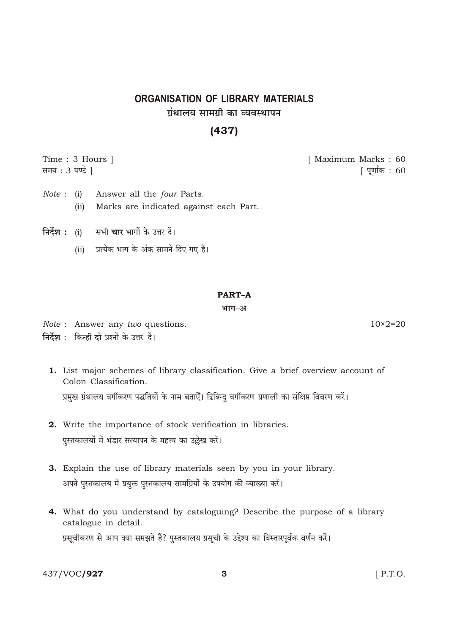# **ORGANISATION OF LIBRARY MATERIALS** गंथालय सामग्री का व्यवस्थापन

# $(437)$

Time: 3 Hours ] [ Maximum Marks: 60 समय : 3 घण्टे । <u> ।</u> पर्णांक: 60

- Answer all the four Parts.  $Note: (i)$ Marks are indicated against each Part.  $(ii)$
- निर्देश : (i) सभी चार भागों के उत्तर दें।
	-

## **PART-A**

भाग-अ

- Note : Answer any two questions. निर्देश : किन्हीं दो प्रश्नों के उत्तर दें।
	- 1. List major schemes of library classification. Give a brief overview account of Colon Classification. प्रमुख ग्रंथालय वर्गीकरण पद्धतियों के नाम बताऐँ। द्विबिन्दु वर्गीकरण प्रणाली का संक्षिप्त विवरण करें।
	- 2. Write the importance of stock verification in libraries. पुस्तकालयों में भंडार सत्यापन के महत्त्व का उल्लेख करें।
	- 3. Explain the use of library materials seen by you in your library. अपने पुस्तकालय में प्रयुक्त पुस्तकालय सामग्रियों के उपयोग की व्याख्या करें।
	- 4. What do you understand by cataloguing? Describe the purpose of a library catalogue in detail. प्रसूचीकरण से आप क्या समझते हैं? पुस्तकालय प्रसूची के उद्देश्य का विस्तारपूर्वक वर्णन करें।

3

437/VOC/927

 $[$  P.T.O.

 $10\times 2=20$ 

(ii) प्रत्येक भाग के अंक सामने दिए गए हैं।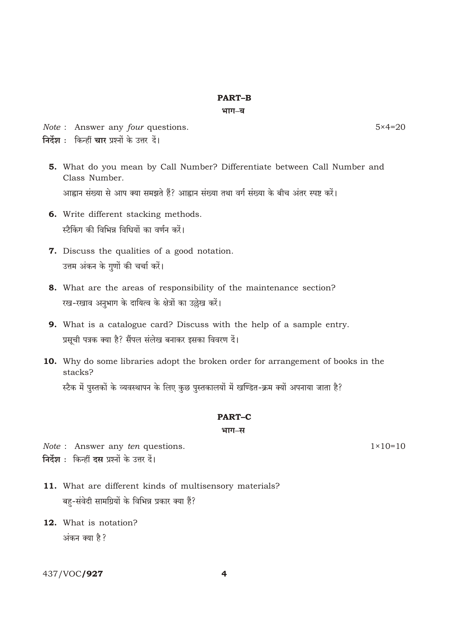### **PART-B**

भाग–ब

Note: Answer any four questions.

 $5 \times 4 = 20$ 

 $1 \times 10 = 10$ 

- निर्देश : किन्हीं चार प्रश्नों के उत्तर दें।
	- 5. What do you mean by Call Number? Differentiate between Call Number and Class Number.

आह्वान संख्या से आप क्या समझते हैं? आह्वान संख्या तथा वर्ग संख्या के बीच अंतर स्पष्ट करें।

- 6. Write different stacking methods. स्टैकिंग की विभिन्न विधियों का वर्णन करें।
- 7. Discuss the qualities of a good notation. उत्तम अंकन के गुणों की चर्चा करें।
- 8. What are the areas of responsibility of the maintenance section? रख-रखाव अनुभाग के दायित्व के क्षेत्रों का उल्लेख करें।
- 9. What is a catalogue card? Discuss with the help of a sample entry. प्रसूची पत्रक क्या है? सैंपल संलेख बनाकर इसका विवरण दें।
- 10. Why do some libraries adopt the broken order for arrangement of books in the stacks?

स्टैक में पुस्तकों के व्यवस्थापन के लिए कुछ पुस्तकालयों में खण्डित-क्रम क्यों अपनाया जाता है?

## **PART-C**

#### भाग–स

Note : Answer any ten questions. निर्देश : किन्हीं दस प्रश्नों के उत्तर दें।

- 11. What are different kinds of multisensory materials? बहु-संवेदी सामग्रियों के विभिन्न प्रकार क्या हैं?
- 12. What is notation? अंकन क्या है?

# 437/VOC/927

 $\overline{\mathbf{A}}$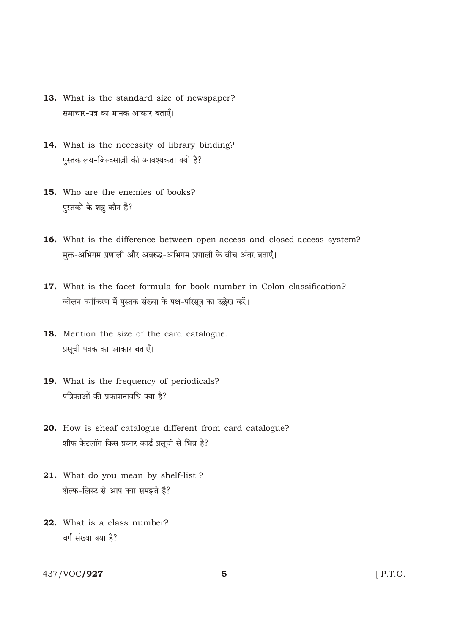- 13. What is the standard size of newspaper? समाचार-पत्र का मानक आकार बताएँ।
- 14. What is the necessity of library binding? पुस्तकालय-जिल्दसाज़ी की आवश्यकता क्यों है?
- 15. Who are the enemies of books? पुस्तकों के शत्रु कौन हैं?
- 16. What is the difference between open-access and closed-access system? मुक्त-अभिगम प्रणाली और अवरुद्ध-अभिगम प्रणाली के बीच अंतर बताएँ।
- 17. What is the facet formula for book number in Colon classification? कोलन वर्गीकरण में पस्तक संख्या के पक्ष-परिसत्र का उल्लेख करें।
- 18. Mention the size of the card catalogue. प्रसूची पत्रक का आकार बताएँ।
- 19. What is the frequency of periodicals? पत्रिकाओं की प्रकाशनावधि क्या है?
- 20. How is sheaf catalogue different from card catalogue? शीफ कैटलॉग किस प्रकार कार्ड प्रसूची से भिन्न है?
- 21. What do you mean by shelf-list? शेल्फ-लिस्ट से आप क्या समझते हैं?
- 22. What is a class number? वर्ग संख्या क्या है?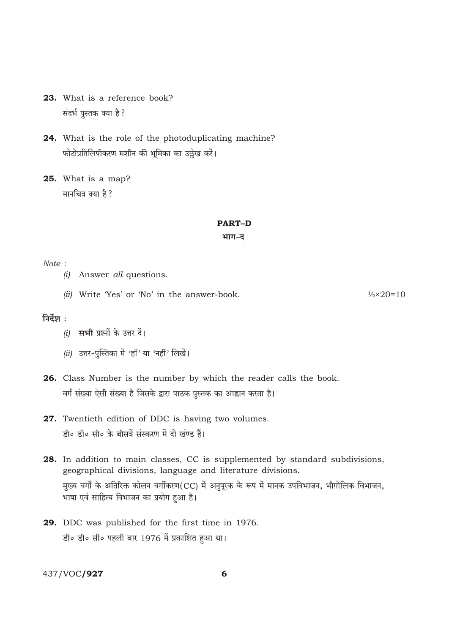- 23. What is a reference book? संदर्भ पुस्तक क्या है?
- 24. What is the role of the photoduplicating machine? फोटोप्रतिलिपीकरण मशीन की भूमिका का उल्लेख करें।
- 25. What is a map? मानचित्र क्या है?

#### **PART-D**

भाग–द

### Note:

- (i) Answer all questions.
- (ii) Write 'Yes' or 'No' in the answer-book.

 $\frac{1}{2} \times 20 = 10$ 

## निर्देश $\cdot$

- $(i)$  सभी प्रश्नों के उत्तर दें।
- (ii) उत्तर-पुस्तिका में 'हाँ' या 'नहीं' लिखें।
- 26. Class Number is the number by which the reader calls the book. वर्ग संख्या ऐसी संख्या है जिसके द्वारा पाठक पुस्तक का आह्वान करता है।
- 27. Twentieth edition of DDC is having two volumes. डी० डी० सी० के बीसवें संस्करण में दो खंण्ड हैं।
- 28. In addition to main classes, CC is supplemented by standard subdivisions, geographical divisions, language and literature divisions. मुख्य वर्गों के अतिरिक्त कोलन वर्गीकरण(CC) में अनुपूरक के रूप में मानक उपविभाजन, भौगोलिक विभाजन, भाषा एवं साहित्य विभाजन का प्रयोग हुआ है।
- 29. DDC was published for the first time in 1976. डी० डी० सी० पहली बार 1976 में प्रकाशित हुआ था।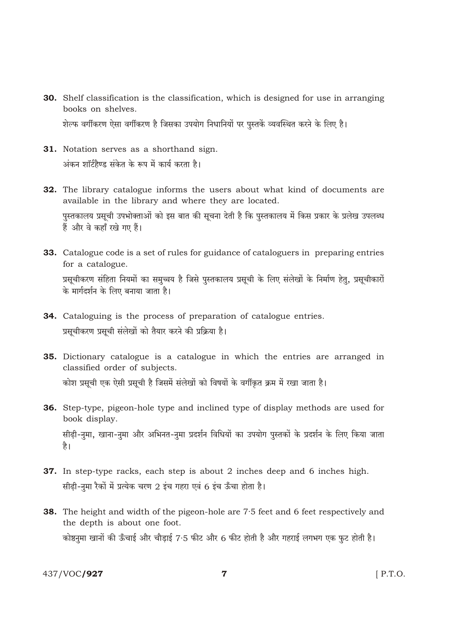- 30. Shelf classification is the classification, which is designed for use in arranging books on shelves. शेल्फ वर्गीकरण ऐसा वर्गीकरण है जिसका उपयोग निधानियों पर पुस्तकें व्यवस्थित करने के लिए है।
- 31. Notation serves as a shorthand sign. अंकन शॉर्टहैण्ड संकेत के रूप में कार्य करता है।
- 32. The library catalogue informs the users about what kind of documents are available in the library and where they are located. पुस्तकालय प्रसूची उपभोक्ताओं को इस बात की सूचना देती है कि पुस्तकालय में किस प्रकार के प्रलेख उपलब्ध हैं और वे कहाँ रखे गए हैं।
- 33. Catalogue code is a set of rules for guidance of cataloguers in preparing entries for a catalogue.

प्रसूचीकरण संहिता नियमों का समुच्चय है जिसे पुस्तकालय प्रसूची के लिए संलेखों के निर्माण हेतु, प्रसूचीकारों के मार्गदर्शन के लिए बनाया जाता है।

- 34. Cataloguing is the process of preparation of catalogue entries. प्रसूचीकरण प्रसूची संलेखों को तैयार करने की प्रक्रिया है।
- 35. Dictionary catalogue is a catalogue in which the entries are arranged in classified order of subjects. कोश प्रसूची एक ऐसी प्रसूची है जिसमें संलेखों को विषयों के वर्गीकृत क्रम में रखा जाता है।
- 36. Step-type, pigeon-hole type and inclined type of display methods are used for book display. सीढ़ी-नुमा, खाना-नुमा और अभिनत-नुमा प्रदर्शन विधियों का उपयोग पुस्तकों के प्रदर्शन के लिए किया जाता है।
- 37. In step-type racks, each step is about 2 inches deep and 6 inches high. सीढ़ी-नुमा रैकों में प्रत्येक चरण 2 इंच गहरा एवं 6 इंच ऊँचा होता है।
- **38.** The height and width of the pigeon-hole are 7.5 feet and 6 feet respectively and the depth is about one foot. कोष्ठनुमा खानों की ऊँचाई और चौड़ाई 7.5 फीट और 6 फीट होती है और गहराई लगभग एक फुट होती है।